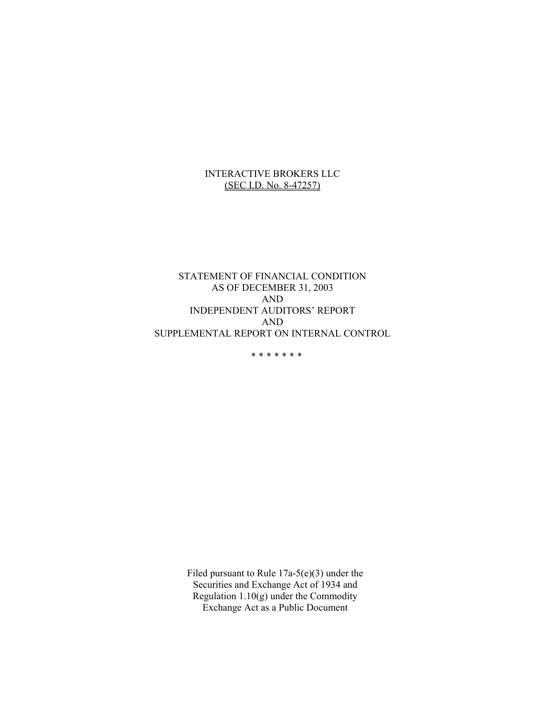# INTERACTIVE BROKERS LLC (SEC I.D. No. 8-47257)

STATEMENT OF FINANCIAL CONDITION AS OF DECEMBER 31, 2003 AND INDEPENDENT AUDITORS' REPORT AND SUPPLEMENTAL REPORT ON INTERNAL CONTROL

\*\*\*\*\*\*\*

Filed pursuant to Rule 17a-5(e)(3) under the Securities and Exchange Act of 1934 and Regulation  $1.10(g)$  under the Commodity Exchange Act as a Public Document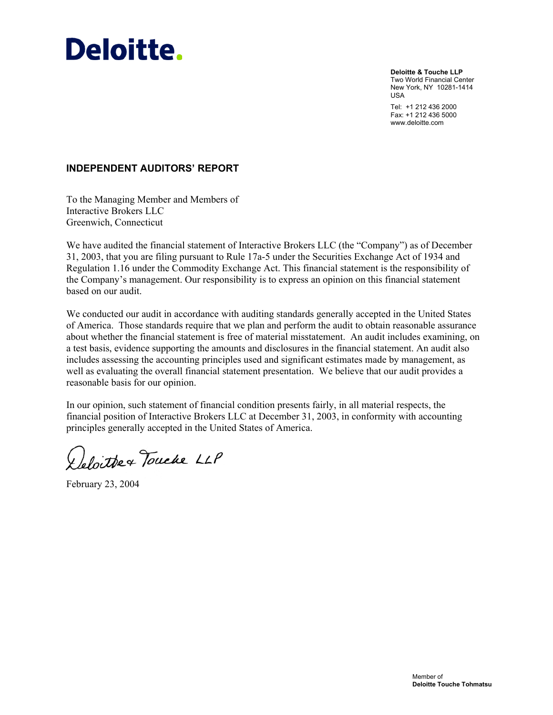# **Deloitte.**

**Deloitte & Touche LLP** Two World Financial Center New York, NY 10281-1414 USA

Tel: +1 212 436 2000 Fax: +1 212 436 5000 www.deloitte.com

# **INDEPENDENT AUDITORS' REPORT**

To the Managing Member and Members of Interactive Brokers LLC Greenwich, Connecticut

We have audited the financial statement of Interactive Brokers LLC (the "Company") as of December 31, 2003, that you are filing pursuant to Rule 17a-5 under the Securities Exchange Act of 1934 and Regulation 1.16 under the Commodity Exchange Act. This financial statement is the responsibility of the Company's management. Our responsibility is to express an opinion on this financial statement based on our audit.

We conducted our audit in accordance with auditing standards generally accepted in the United States of America. Those standards require that we plan and perform the audit to obtain reasonable assurance about whether the financial statement is free of material misstatement. An audit includes examining, on a test basis, evidence supporting the amounts and disclosures in the financial statement. An audit also includes assessing the accounting principles used and significant estimates made by management, as well as evaluating the overall financial statement presentation. We believe that our audit provides a reasonable basis for our opinion.

In our opinion, such statement of financial condition presents fairly, in all material respects, the financial position of Interactive Brokers LLC at December 31, 2003, in conformity with accounting principles generally accepted in the United States of America.

Deloittex Touche LLP

February 23, 2004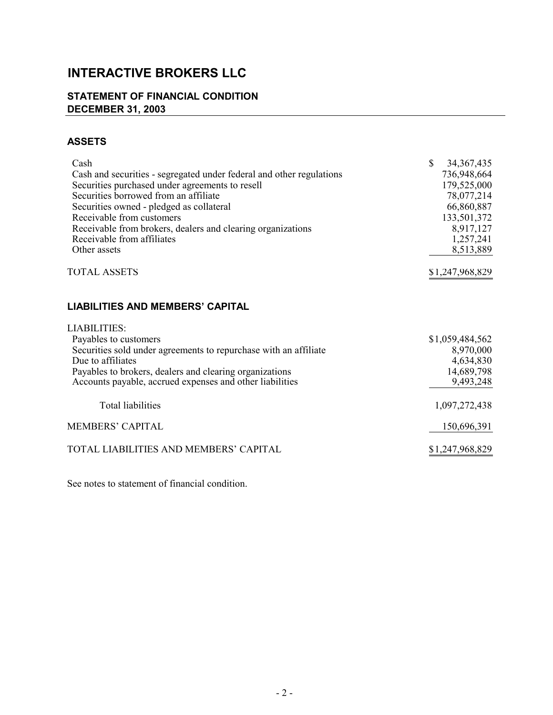# **INTERACTIVE BROKERS LLC**

# **STATEMENT OF FINANCIAL CONDITION DECEMBER 31, 2003**

# **ASSETS**

| Cash<br>Cash and securities - segregated under federal and other regulations<br>Securities purchased under agreements to resell<br>Securities borrowed from an affiliate<br>Securities owned - pledged as collateral<br>Receivable from customers<br>Receivable from brokers, dealers and clearing organizations<br>Receivable from affiliates<br>Other assets | $\mathbb{S}$<br>34, 367, 435<br>736,948,664<br>179,525,000<br>78,077,214<br>66,860,887<br>133,501,372<br>8,917,127<br>1,257,241<br>8,513,889 |
|----------------------------------------------------------------------------------------------------------------------------------------------------------------------------------------------------------------------------------------------------------------------------------------------------------------------------------------------------------------|----------------------------------------------------------------------------------------------------------------------------------------------|
| <b>TOTAL ASSETS</b>                                                                                                                                                                                                                                                                                                                                            | \$1,247,968,829                                                                                                                              |
| <b>LIABILITIES AND MEMBERS' CAPITAL</b>                                                                                                                                                                                                                                                                                                                        |                                                                                                                                              |
| <b>LIABILITIES:</b><br>Payables to customers<br>Securities sold under agreements to repurchase with an affiliate<br>Due to affiliates<br>Payables to brokers, dealers and clearing organizations<br>Accounts payable, accrued expenses and other liabilities                                                                                                   | \$1,059,484,562<br>8,970,000<br>4,634,830<br>14,689,798<br>9,493,248                                                                         |
| <b>Total liabilities</b>                                                                                                                                                                                                                                                                                                                                       | 1,097,272,438                                                                                                                                |
| <b>MEMBERS' CAPITAL</b>                                                                                                                                                                                                                                                                                                                                        | 150,696,391                                                                                                                                  |
| TOTAL LIABILITIES AND MEMBERS' CAPITAL                                                                                                                                                                                                                                                                                                                         | \$1,247,968,829                                                                                                                              |

See notes to statement of financial condition.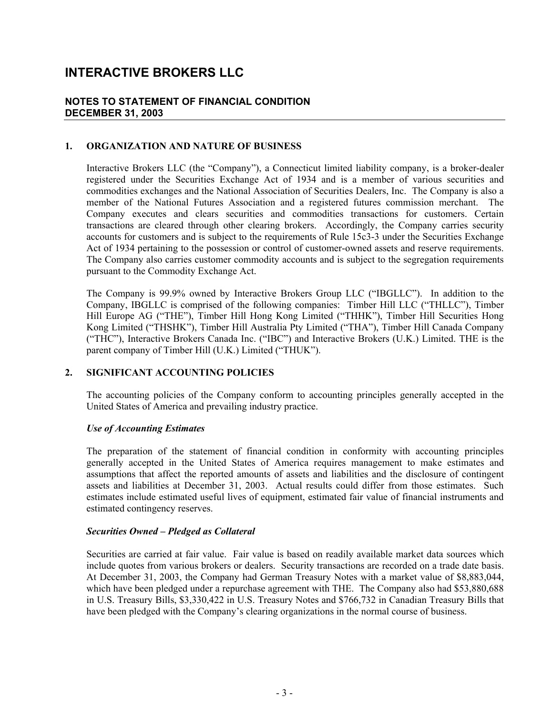# **INTERACTIVE BROKERS LLC**

# **NOTES TO STATEMENT OF FINANCIAL CONDITION DECEMBER 31, 2003**

# **1. ORGANIZATION AND NATURE OF BUSINESS**

Interactive Brokers LLC (the "Company"), a Connecticut limited liability company, is a broker-dealer registered under the Securities Exchange Act of 1934 and is a member of various securities and commodities exchanges and the National Association of Securities Dealers, Inc. The Company is also a member of the National Futures Association and a registered futures commission merchant. The Company executes and clears securities and commodities transactions for customers. Certain transactions are cleared through other clearing brokers. Accordingly, the Company carries security accounts for customers and is subject to the requirements of Rule 15c3-3 under the Securities Exchange Act of 1934 pertaining to the possession or control of customer-owned assets and reserve requirements. The Company also carries customer commodity accounts and is subject to the segregation requirements pursuant to the Commodity Exchange Act.

The Company is 99.9% owned by Interactive Brokers Group LLC ("IBGLLC"). In addition to the Company, IBGLLC is comprised of the following companies: Timber Hill LLC ("THLLC"), Timber Hill Europe AG ("THE"), Timber Hill Hong Kong Limited ("THHK"), Timber Hill Securities Hong Kong Limited ("THSHK"), Timber Hill Australia Pty Limited ("THA"), Timber Hill Canada Company ("THC"), Interactive Brokers Canada Inc. ("IBC") and Interactive Brokers (U.K.) Limited. THE is the parent company of Timber Hill (U.K.) Limited ("THUK").

# **2. SIGNIFICANT ACCOUNTING POLICIES**

The accounting policies of the Company conform to accounting principles generally accepted in the United States of America and prevailing industry practice.

# *Use of Accounting Estimates*

The preparation of the statement of financial condition in conformity with accounting principles generally accepted in the United States of America requires management to make estimates and assumptions that affect the reported amounts of assets and liabilities and the disclosure of contingent assets and liabilities at December 31, 2003. Actual results could differ from those estimates. Such estimates include estimated useful lives of equipment, estimated fair value of financial instruments and estimated contingency reserves.

# *Securities Owned – Pledged as Collateral*

Securities are carried at fair value. Fair value is based on readily available market data sources which include quotes from various brokers or dealers. Security transactions are recorded on a trade date basis. At December 31, 2003, the Company had German Treasury Notes with a market value of \$8,883,044, which have been pledged under a repurchase agreement with THE. The Company also had \$53,880,688 in U.S. Treasury Bills, \$3,330,422 in U.S. Treasury Notes and \$766,732 in Canadian Treasury Bills that have been pledged with the Company's clearing organizations in the normal course of business.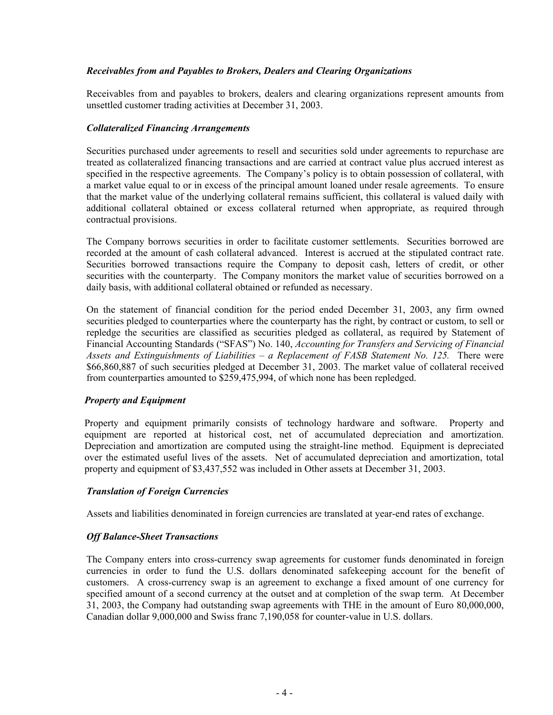# *Receivables from and Payables to Brokers, Dealers and Clearing Organizations*

Receivables from and payables to brokers, dealers and clearing organizations represent amounts from unsettled customer trading activities at December 31, 2003.

# *Collateralized Financing Arrangements*

Securities purchased under agreements to resell and securities sold under agreements to repurchase are treated as collateralized financing transactions and are carried at contract value plus accrued interest as specified in the respective agreements. The Company's policy is to obtain possession of collateral, with a market value equal to or in excess of the principal amount loaned under resale agreements. To ensure that the market value of the underlying collateral remains sufficient, this collateral is valued daily with additional collateral obtained or excess collateral returned when appropriate, as required through contractual provisions.

The Company borrows securities in order to facilitate customer settlements. Securities borrowed are recorded at the amount of cash collateral advanced. Interest is accrued at the stipulated contract rate. Securities borrowed transactions require the Company to deposit cash, letters of credit, or other securities with the counterparty. The Company monitors the market value of securities borrowed on a daily basis, with additional collateral obtained or refunded as necessary.

On the statement of financial condition for the period ended December 31, 2003, any firm owned securities pledged to counterparties where the counterparty has the right, by contract or custom, to sell or repledge the securities are classified as securities pledged as collateral, as required by Statement of Financial Accounting Standards ("SFAS") No. 140, *Accounting for Transfers and Servicing of Financial Assets and Extinguishments of Liabilities – a Replacement of FASB Statement No. 125.* There were \$66,860,887 of such securities pledged at December 31, 2003. The market value of collateral received from counterparties amounted to \$259,475,994, of which none has been repledged.

# *Property and Equipment*

Property and equipment primarily consists of technology hardware and software. Property and equipment are reported at historical cost, net of accumulated depreciation and amortization. Depreciation and amortization are computed using the straight-line method. Equipment is depreciated over the estimated useful lives of the assets. Net of accumulated depreciation and amortization, total property and equipment of \$3,437,552 was included in Other assets at December 31, 2003.

# *Translation of Foreign Currencies*

Assets and liabilities denominated in foreign currencies are translated at year-end rates of exchange.

# *Off Balance-Sheet Transactions*

The Company enters into cross-currency swap agreements for customer funds denominated in foreign currencies in order to fund the U.S. dollars denominated safekeeping account for the benefit of customers. A cross-currency swap is an agreement to exchange a fixed amount of one currency for specified amount of a second currency at the outset and at completion of the swap term. At December 31, 2003, the Company had outstanding swap agreements with THE in the amount of Euro 80,000,000, Canadian dollar 9,000,000 and Swiss franc 7,190,058 for counter-value in U.S. dollars.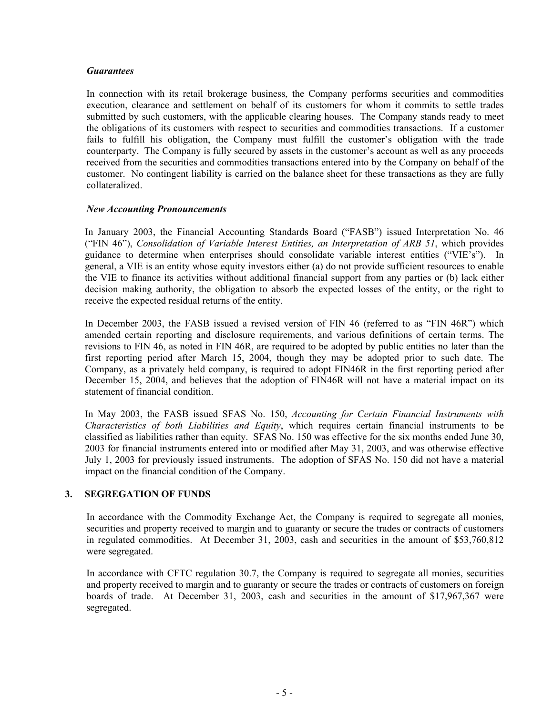#### *Guarantees*

In connection with its retail brokerage business, the Company performs securities and commodities execution, clearance and settlement on behalf of its customers for whom it commits to settle trades submitted by such customers, with the applicable clearing houses. The Company stands ready to meet the obligations of its customers with respect to securities and commodities transactions. If a customer fails to fulfill his obligation, the Company must fulfill the customer's obligation with the trade counterparty. The Company is fully secured by assets in the customer's account as well as any proceeds received from the securities and commodities transactions entered into by the Company on behalf of the customer. No contingent liability is carried on the balance sheet for these transactions as they are fully collateralized.

# *New Accounting Pronouncements*

In January 2003, the Financial Accounting Standards Board ("FASB") issued Interpretation No. 46 ("FIN 46"), *Consolidation of Variable Interest Entities, an Interpretation of ARB 51*, which provides guidance to determine when enterprises should consolidate variable interest entities ("VIE's"). In general, a VIE is an entity whose equity investors either (a) do not provide sufficient resources to enable the VIE to finance its activities without additional financial support from any parties or (b) lack either decision making authority, the obligation to absorb the expected losses of the entity, or the right to receive the expected residual returns of the entity.

In December 2003, the FASB issued a revised version of FIN 46 (referred to as "FIN 46R") which amended certain reporting and disclosure requirements, and various definitions of certain terms. The revisions to FIN 46, as noted in FIN 46R, are required to be adopted by public entities no later than the first reporting period after March 15, 2004, though they may be adopted prior to such date. The Company, as a privately held company, is required to adopt FIN46R in the first reporting period after December 15, 2004, and believes that the adoption of FIN46R will not have a material impact on its statement of financial condition.

In May 2003, the FASB issued SFAS No. 150, *Accounting for Certain Financial Instruments with Characteristics of both Liabilities and Equity*, which requires certain financial instruments to be classified as liabilities rather than equity. SFAS No. 150 was effective for the six months ended June 30, 2003 for financial instruments entered into or modified after May 31, 2003, and was otherwise effective July 1, 2003 for previously issued instruments. The adoption of SFAS No. 150 did not have a material impact on the financial condition of the Company.

# **3. SEGREGATION OF FUNDS**

In accordance with the Commodity Exchange Act, the Company is required to segregate all monies, securities and property received to margin and to guaranty or secure the trades or contracts of customers in regulated commodities. At December 31, 2003, cash and securities in the amount of \$53,760,812 were segregated.

In accordance with CFTC regulation 30.7, the Company is required to segregate all monies, securities and property received to margin and to guaranty or secure the trades or contracts of customers on foreign boards of trade. At December 31, 2003, cash and securities in the amount of \$17,967,367 were segregated.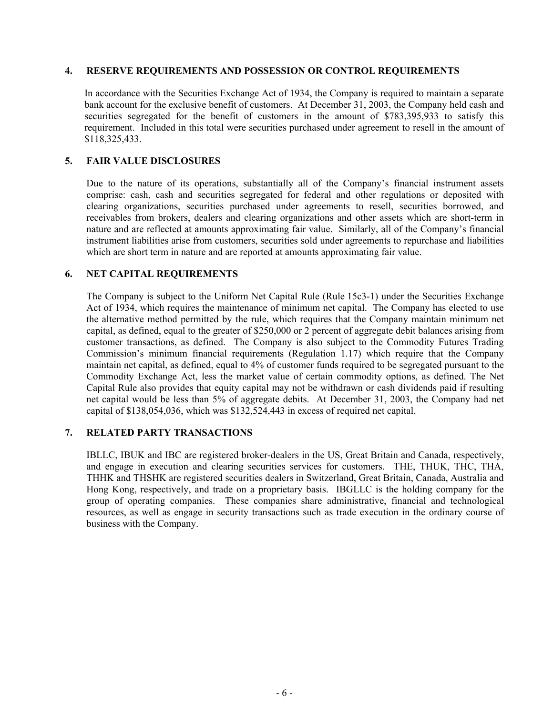#### **4. RESERVE REQUIREMENTS AND POSSESSION OR CONTROL REQUIREMENTS**

In accordance with the Securities Exchange Act of 1934, the Company is required to maintain a separate bank account for the exclusive benefit of customers. At December 31, 2003, the Company held cash and securities segregated for the benefit of customers in the amount of \$783,395,933 to satisfy this requirement. Included in this total were securities purchased under agreement to resell in the amount of \$118,325,433.

# **5. FAIR VALUE DISCLOSURES**

Due to the nature of its operations, substantially all of the Company's financial instrument assets comprise: cash, cash and securities segregated for federal and other regulations or deposited with clearing organizations, securities purchased under agreements to resell, securities borrowed, and receivables from brokers, dealers and clearing organizations and other assets which are short-term in nature and are reflected at amounts approximating fair value. Similarly, all of the Company's financial instrument liabilities arise from customers, securities sold under agreements to repurchase and liabilities which are short term in nature and are reported at amounts approximating fair value.

# **6. NET CAPITAL REQUIREMENTS**

The Company is subject to the Uniform Net Capital Rule (Rule 15c3-1) under the Securities Exchange Act of 1934, which requires the maintenance of minimum net capital. The Company has elected to use the alternative method permitted by the rule, which requires that the Company maintain minimum net capital, as defined, equal to the greater of \$250,000 or 2 percent of aggregate debit balances arising from customer transactions, as defined. The Company is also subject to the Commodity Futures Trading Commission's minimum financial requirements (Regulation 1.17) which require that the Company maintain net capital, as defined, equal to 4% of customer funds required to be segregated pursuant to the Commodity Exchange Act, less the market value of certain commodity options, as defined. The Net Capital Rule also provides that equity capital may not be withdrawn or cash dividends paid if resulting net capital would be less than 5% of aggregate debits. At December 31, 2003, the Company had net capital of \$138,054,036, which was \$132,524,443 in excess of required net capital.

# **7. RELATED PARTY TRANSACTIONS**

IBLLC, IBUK and IBC are registered broker-dealers in the US, Great Britain and Canada, respectively, and engage in execution and clearing securities services for customers. THE, THUK, THC, THA, THHK and THSHK are registered securities dealers in Switzerland, Great Britain, Canada, Australia and Hong Kong, respectively, and trade on a proprietary basis. IBGLLC is the holding company for the group of operating companies. These companies share administrative, financial and technological resources, as well as engage in security transactions such as trade execution in the ordinary course of business with the Company.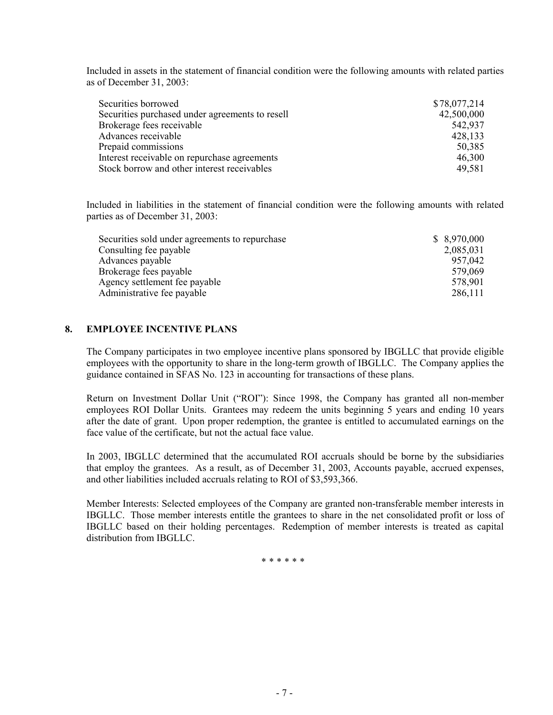Included in assets in the statement of financial condition were the following amounts with related parties as of December 31, 2003:

| Securities borrowed                             | \$78,077,214 |
|-------------------------------------------------|--------------|
| Securities purchased under agreements to resell | 42,500,000   |
| Brokerage fees receivable                       | 542,937      |
| Advances receivable                             | 428,133      |
| Prepaid commissions                             | 50,385       |
| Interest receivable on repurchase agreements    | 46,300       |
| Stock borrow and other interest receivables     | 49,581       |

Included in liabilities in the statement of financial condition were the following amounts with related parties as of December 31, 2003:

| Securities sold under agreements to repurchase | \$8,970,000 |
|------------------------------------------------|-------------|
| Consulting fee payable                         | 2,085,031   |
| Advances payable                               | 957,042     |
| Brokerage fees payable                         | 579.069     |
| Agency settlement fee payable                  | 578,901     |
| Administrative fee payable                     | 286,111     |
|                                                |             |

#### **8. EMPLOYEE INCENTIVE PLANS**

The Company participates in two employee incentive plans sponsored by IBGLLC that provide eligible employees with the opportunity to share in the long-term growth of IBGLLC. The Company applies the guidance contained in SFAS No. 123 in accounting for transactions of these plans.

Return on Investment Dollar Unit ("ROI"): Since 1998, the Company has granted all non-member employees ROI Dollar Units. Grantees may redeem the units beginning 5 years and ending 10 years after the date of grant. Upon proper redemption, the grantee is entitled to accumulated earnings on the face value of the certificate, but not the actual face value.

In 2003, IBGLLC determined that the accumulated ROI accruals should be borne by the subsidiaries that employ the grantees. As a result, as of December 31, 2003, Accounts payable, accrued expenses, and other liabilities included accruals relating to ROI of \$3,593,366.

Member Interests: Selected employees of the Company are granted non-transferable member interests in IBGLLC. Those member interests entitle the grantees to share in the net consolidated profit or loss of IBGLLC based on their holding percentages. Redemption of member interests is treated as capital distribution from IBGLLC.

\*\*\*\* \*\*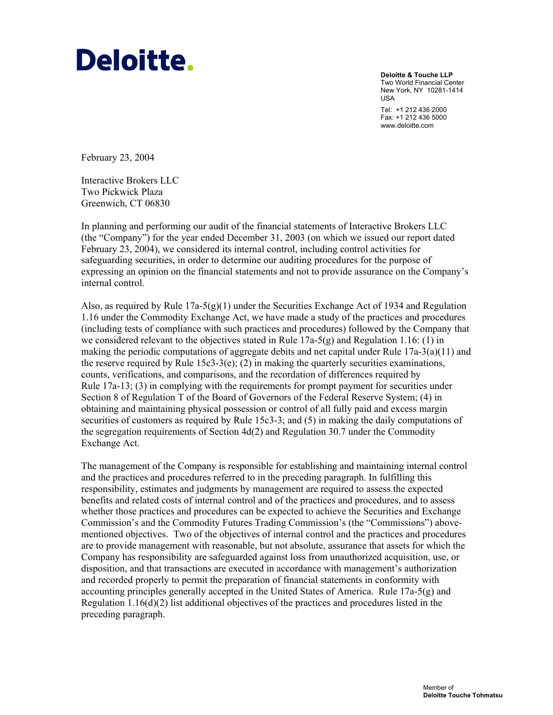# **Deloitte.**

**Deloitte & Touche LLP** Two World Financial Center New York, NY 10281-1414 USA

Tel: +1 212 436 2000 Fax: +1 212 436 5000 www.deloitte.com

February 23, 2004

Interactive Brokers LLC Two Pickwick Plaza Greenwich, CT 06830

In planning and performing our audit of the financial statements of Interactive Brokers LLC (the "Company") for the year ended December 31, 2003 (on which we issued our report dated February 23, 2004), we considered its internal control, including control activities for safeguarding securities, in order to determine our auditing procedures for the purpose of expressing an opinion on the financial statements and not to provide assurance on the Company's internal control.

Also, as required by Rule  $17a-5(g)(1)$  under the Securities Exchange Act of 1934 and Regulation 1.16 under the Commodity Exchange Act, we have made a study of the practices and procedures (including tests of compliance with such practices and procedures) followed by the Company that we considered relevant to the objectives stated in Rule  $17a-5(g)$  and Regulation 1.16: (1) in making the periodic computations of aggregate debits and net capital under Rule 17a-3(a)(11) and the reserve required by Rule 15c3-3(e); (2) in making the quarterly securities examinations, counts, verifications, and comparisons, and the recordation of differences required by Rule 17a-13; (3) in complying with the requirements for prompt payment for securities under Section 8 of Regulation T of the Board of Governors of the Federal Reserve System; (4) in obtaining and maintaining physical possession or control of all fully paid and excess margin securities of customers as required by Rule 15c3-3; and (5) in making the daily computations of the segregation requirements of Section 4d(2) and Regulation 30.7 under the Commodity Exchange Act.

The management of the Company is responsible for establishing and maintaining internal control and the practices and procedures referred to in the preceding paragraph. In fulfilling this responsibility, estimates and judgments by management are required to assess the expected benefits and related costs of internal control and of the practices and procedures, and to assess whether those practices and procedures can be expected to achieve the Securities and Exchange Commission's and the Commodity Futures Trading Commission's (the "Commissions") abovementioned objectives. Two of the objectives of internal control and the practices and procedures are to provide management with reasonable, but not absolute, assurance that assets for which the Company has responsibility are safeguarded against loss from unauthorized acquisition, use, or disposition, and that transactions are executed in accordance with management's authorization and recorded properly to permit the preparation of financial statements in conformity with accounting principles generally accepted in the United States of America. Rule 17a-5(g) and Regulation 1.16(d)(2) list additional objectives of the practices and procedures listed in the preceding paragraph.